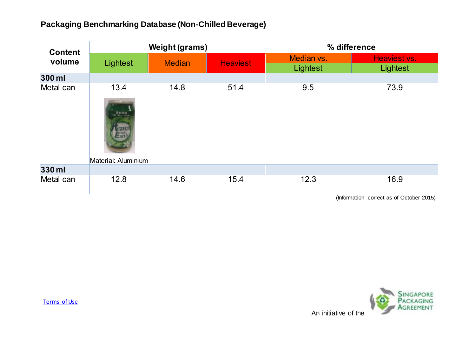## **Packaging Benchmarking Database (Non-Chilled Beverage)**

| <b>Content</b><br>volume | <b>Weight (grams)</b>                                |               |                 | % difference                                                |                                                                                                                                                        |
|--------------------------|------------------------------------------------------|---------------|-----------------|-------------------------------------------------------------|--------------------------------------------------------------------------------------------------------------------------------------------------------|
|                          | Lightest                                             | <b>Median</b> | <b>Heaviest</b> | Median vs.<br>Lightest                                      | Heaviest vs.<br>Lightest                                                                                                                               |
| 300 ml                   |                                                      |               |                 |                                                             |                                                                                                                                                        |
| Metal can                | 13.4<br><b>WRIGHT</b><br>Hart<br>Material: Aluminium | 14.8          | 51.4            | 9.5                                                         | 73.9                                                                                                                                                   |
| 330 ml                   |                                                      |               |                 |                                                             |                                                                                                                                                        |
| Metal can                | 12.8                                                 | 14.6          | 15.4            | 12.3<br>$\mathbf{a}$ $\mathbf{b}$ $\mathbf{c}$ $\mathbf{d}$ | 16.9<br>$\mathbf{r}$ $\mathbf{r}$ $\mathbf{r}$ $\mathbf{r}$ $\mathbf{r}$ $\mathbf{r}$ $\mathbf{r}$ $\mathbf{r}$ $\mathbf{r}$ $\mathbf{r}$ $\mathbf{r}$ |

(Information correct as of October 2015)

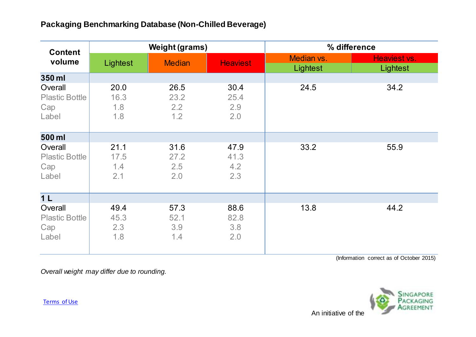## **Packaging Benchmarking Database (Non-Chilled Beverage)**

| <b>Content</b><br>volume                         | <b>Weight (grams)</b>      |                            |                            | % difference           |                          |
|--------------------------------------------------|----------------------------|----------------------------|----------------------------|------------------------|--------------------------|
|                                                  | Lightest                   | <b>Median</b>              | <b>Heaviest</b>            | Median vs.<br>Lightest | Heaviest vs.<br>Lightest |
| 350 ml                                           |                            |                            |                            |                        |                          |
| Overall<br><b>Plastic Bottle</b><br>Cap<br>Label | 20.0<br>16.3<br>1.8<br>1.8 | 26.5<br>23.2<br>2.2<br>1.2 | 30.4<br>25.4<br>2.9<br>2.0 | 24.5                   | 34.2                     |
| 500 ml                                           |                            |                            |                            |                        |                          |
| Overall<br><b>Plastic Bottle</b><br>Cap<br>Label | 21.1<br>17.5<br>1.4<br>2.1 | 31.6<br>27.2<br>2.5<br>2.0 | 47.9<br>41.3<br>4.2<br>2.3 | 33.2                   | 55.9                     |
| 1 <sub>L</sub>                                   |                            |                            |                            |                        |                          |
| Overall<br><b>Plastic Bottle</b><br>Cap<br>Label | 49.4<br>45.3<br>2.3<br>1.8 | 57.3<br>52.1<br>3.9<br>1.4 | 88.6<br>82.8<br>3.8<br>2.0 | 13.8                   | 44.2                     |

(Information correct as of October 2015)

*Overall weight may differ due to rounding.*



[Terms of Use](http://www.nea.gov.sg/terms-of-use/)